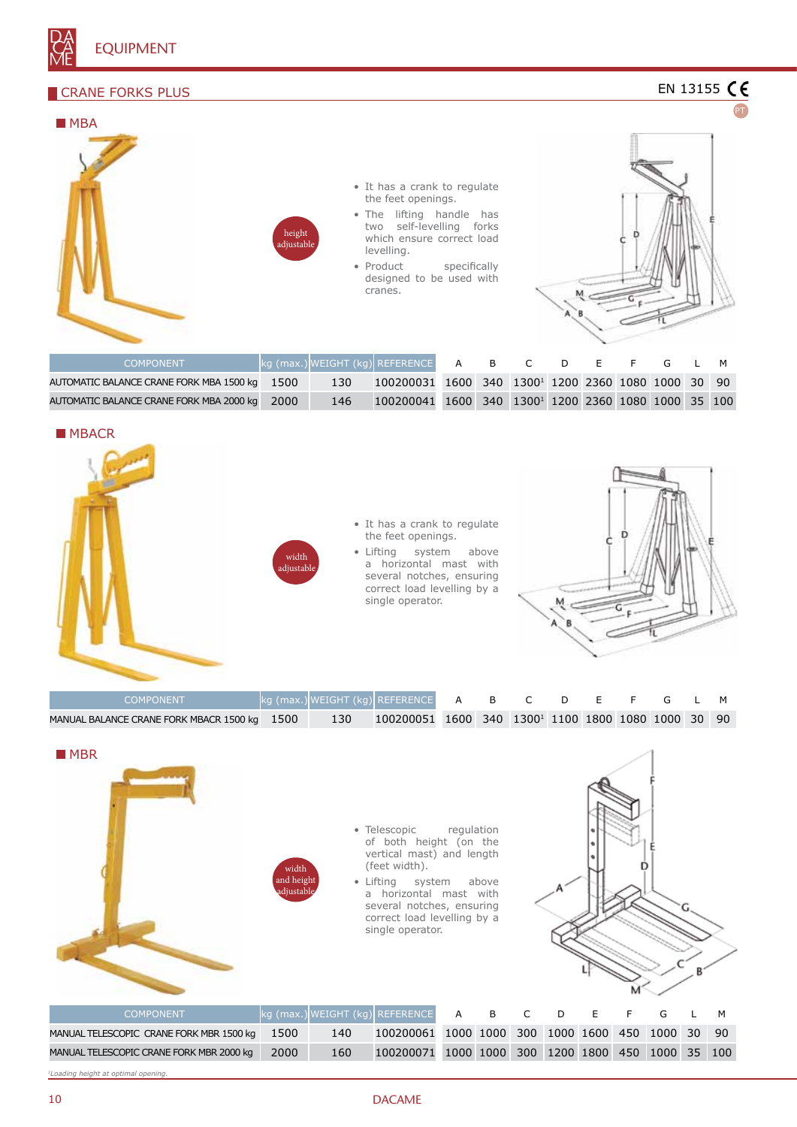

# **CRANE FORKS PLUS**

AUTOMATIC BALANCE CRANE FORK MBA 2000 kg 2000 146



1600 340 13001 1200 2360 1080 1000 35 100



| <b>COMPONENT</b>                             |       | L kg (max.) WEIGHT (kg) REFERENCE A B C D E F G L M            |  |  |  |  |  |
|----------------------------------------------|-------|----------------------------------------------------------------|--|--|--|--|--|
| MANUAL BALANCE CRANE FORK MBACR 1500 kg 1500 | - 130 | 100200051 1600 340 1300 <sup>1</sup> 1100 1800 1080 1000 30 90 |  |  |  |  |  |

| $\blacksquare$ MBR                       | width<br>and height<br>adjustable | a   | • Telescopic<br>of both height (on the<br>vertical mast) and length<br>(feet width).<br>• Lifting system<br>horizontal mast with<br>several notches, ensuring<br>correct load levelling by a<br>single operator. | regulation | above     |     |   |           |             |     |
|------------------------------------------|-----------------------------------|-----|------------------------------------------------------------------------------------------------------------------------------------------------------------------------------------------------------------------|------------|-----------|-----|---|-----------|-------------|-----|
| <b>COMPONENT</b>                         |                                   |     | kg (max.) WEIGHT (kg) REFERENCE                                                                                                                                                                                  | A          | B         |     | D | E         | G           | M   |
| MANUAL TELESCOPIC CRANE FORK MBR 1500 kg | 1500                              | 140 | 100200061                                                                                                                                                                                                        |            | 1000 1000 | 300 |   | 1000 1600 | 450 1000 30 | 90  |
| MANUAL TELESCOPIC CRANE FORK MBR 2000 kg | 2000                              | 160 | 100200071 1000 1000 300 1200 1800 450 1000 35                                                                                                                                                                    |            |           |     |   |           |             | 100 |

*1Loading height at optimal opening.*

#### 10 DACAME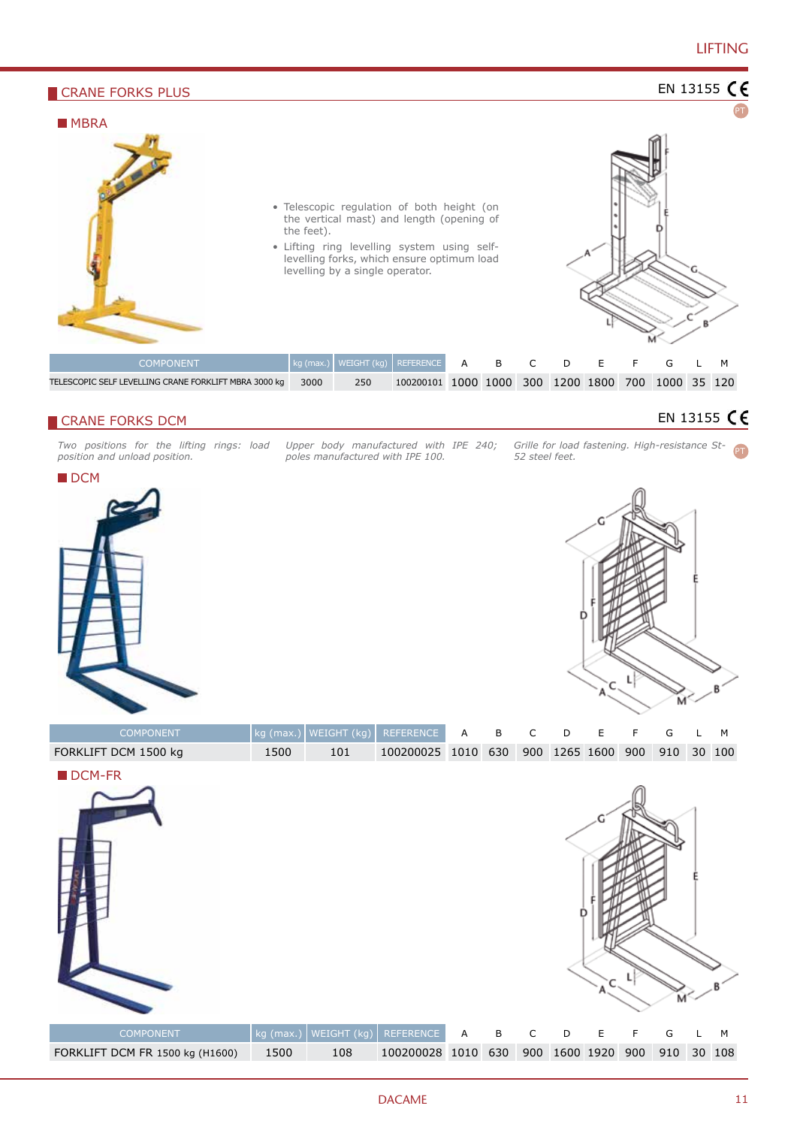

#### **CRANE FORKS DCM**

*Two positions for the lifting rings: load position and unload position.*

*Upper body manufactured with IPE 240; poles manufactured with IPE 100.*

*Grille for load fastening. High-resistance St-52 steel feet.* PT





| <b>COMPONENT</b>     |      |     | $\left  \text{kg (max.)} \right $ WEIGHT (kg) REFERENCE A B C D E F G L M |  |  |  |  |  |
|----------------------|------|-----|---------------------------------------------------------------------------|--|--|--|--|--|
| FORKLIFT DCM 1500 kg | 1500 | 101 | 100200025 1010 630 900 1265 1600 900 910 30 100                           |  |  |  |  |  |

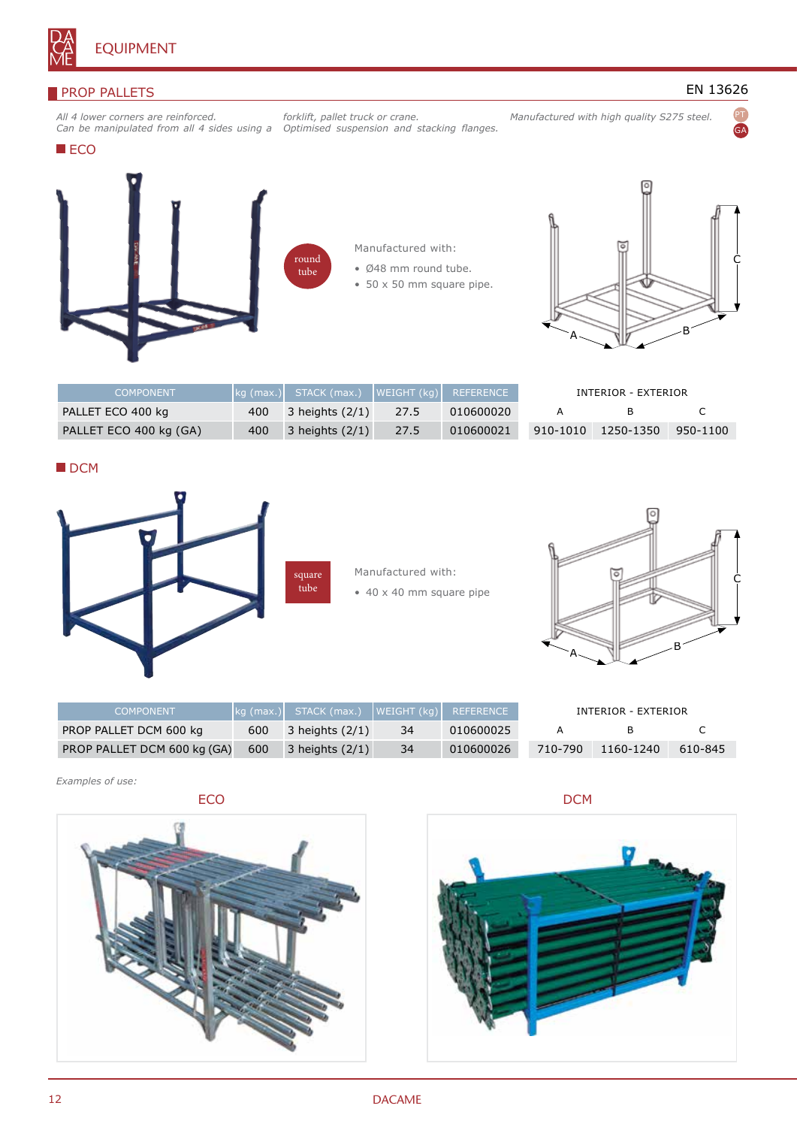

#### **PROP PALLETS**

*All 4 lower corners are reinforced. Can be manipulated from all 4 sides using a* 

*forklift, pallet truck or crane. Optimised suspension and stacking flanges.*  EN 13626

PT GA

**ECO** 



round tube



- Ø48 mm round tube.
- 50 x 50 mm square pipe.



*Manufactured with high quality S275 steel.*

| <b>COMPONENT</b>       |     | kg (max.)  STACK (max.)  WEIGHT (kg)  REFERENCE |      |           | INTERIOR - EXTERIOR |           |          |
|------------------------|-----|-------------------------------------------------|------|-----------|---------------------|-----------|----------|
| PALLET ECO 400 kg      | 400 | $3$ heights $(2/1)$                             | 27.5 | 010600020 |                     |           |          |
| PALLET ECO 400 kg (GA) | 400 | $3$ heights $(2/1)$                             | 27.5 | 010600021 | 910-1010            | 1250-1350 | 950-1100 |

DCM



Manufactured with: • 40 x 40 mm square pipe



| <b>COMPONENT</b>            |     | kg (max.)  STACK (max.)  WEIGHT (kg) |     | REFERENCE |     |
|-----------------------------|-----|--------------------------------------|-----|-----------|-----|
| PROP PALLET DCM 600 kg      | 600 | 3 heights $(2/1)$                    | 34  | 010600025 |     |
| PROP PALLET DCM 600 kg (GA) | 600 | $3$ heights $(2/1)$                  | -34 | 010600026 | 710 |

| INTERIOR - EXTERIOR |           |         |  |  |  |  |  |
|---------------------|-----------|---------|--|--|--|--|--|
|                     | R         |         |  |  |  |  |  |
| 710-790             | 1160-1240 | 610-845 |  |  |  |  |  |

*Examples of use:*